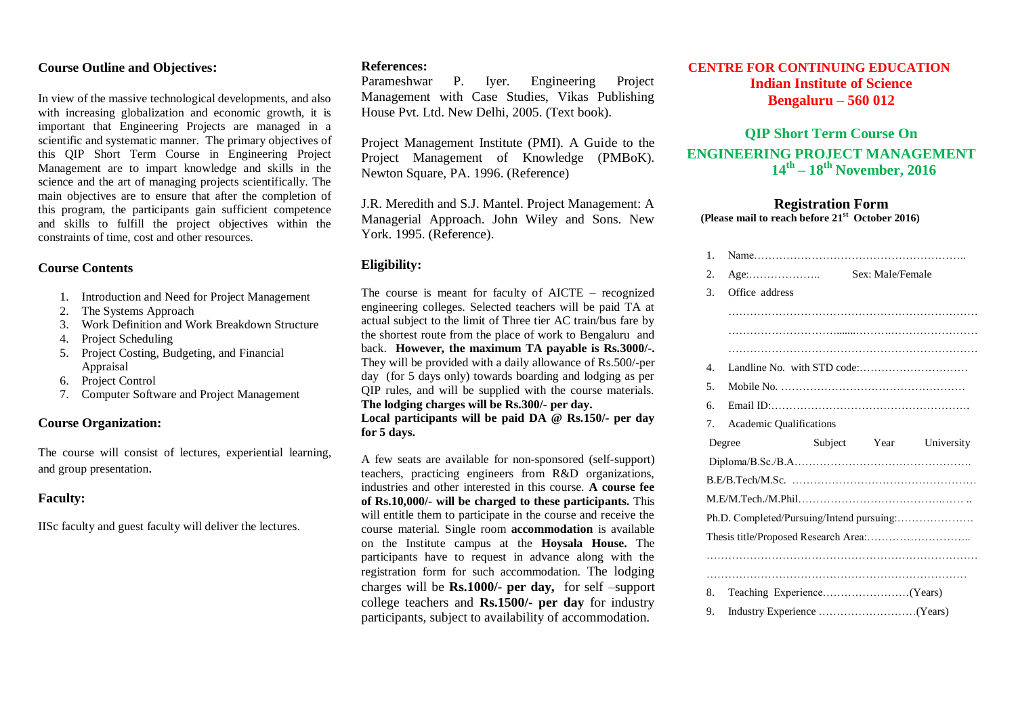# **Course Outline and Objectives:**

In view of the massive technological developments, and also with increasing globalization and economic growth, it is important that Engineering Projects are managed in a scientific and systematic manner. The primary objectives of this QIP Short Term Course in Engineering Project Management are to impart knowledge and skills in the science and the art of managing projects scientifically. The main objectives are to ensure that after the completion of this program, the participants gain sufficient competence and skills to fulfill the project objectives within the constraints of time, cost and other resources.

#### **Course Contents**

- 1. Introduction and Need for Project Management
- 2. The Systems Approach
- 3. Work Definition and Work Breakdown Structure
- 4. Project Scheduling
- 5. Project Costing, Budgeting, and Financial Appraisal
- 6. Project Control
- 7. Computer Software and Project Management

### **Course Organization:**

The course will consist of lectures, experiential learning, and group presentation.

# **Faculty:**

IISc faculty and guest faculty will deliver the lectures.

#### **References:**

Parameshwar P. Iyer. Engineering Project Management with Case Studies, Vikas Publishing House Pvt. Ltd. New Delhi, 2005. (Text book).

Project Management Institute (PMI). A Guide to the Project Management of Knowledge (PMBoK). Newton Square, PA. 1996. (Reference)

J.R. Meredith and S.J. Mantel. Project Management: A Managerial Approach. John Wiley and Sons. New York. 1995. (Reference).

#### **Eligibility:**

The course is meant for faculty of AICTE – recognized engineering colleges. Selected teachers will be paid TA at actual subject to the limit of Three tier AC train/bus fare by the shortest route from the place of work to Bengaluru and back. **However, the maximum TA payable is Rs.3000/-.** They will be provided with a daily allowance of Rs.500/-per day (for 5 days only) towards boarding and lodging as per QIP rules, and will be supplied with the course materials. **The lodging charges will be Rs.300/- per day. Local participants will be paid DA @ Rs.150/- per day for 5 days.**

A few seats are available for non-sponsored (self-support) teachers, practicing engineers from R&D organizations, industries and other interested in this course. **A course fee of Rs.10,000/- will be charged to these participants.** This will entitle them to participate in the course and receive the course material. Single room **accommodation** is available on the Institute campus at the **Hoysala House.** The participants have to request in advance along with the registration form for such accommodation. The lodging charges will be **Rs.1000/- per day,** for self –support college teachers and **Rs.1500/- per day** for industry participants, subject to availability of accommodation.

# **CENTRE FOR CONTINUING EDUCATION Indian Institute of Science Bengaluru – 560 012**

# **QIP Short Term Course On ENGINEERING PROJECT MANAGEMENT 14th – 18th November, 2016**

#### **Registration Form (Please mail to reach before 21st October 2016)**

| 2.<br>3.<br>Office address<br>4.<br>5.<br>б.<br>$7_{\scriptscriptstyle{\circ}}$<br>Academic Qualifications<br>Subject Year<br>Degree<br>Ph.D. Completed/Pursuing/Intend pursuing: | 1. |  |            |
|-----------------------------------------------------------------------------------------------------------------------------------------------------------------------------------|----|--|------------|
|                                                                                                                                                                                   |    |  |            |
|                                                                                                                                                                                   |    |  |            |
|                                                                                                                                                                                   |    |  |            |
|                                                                                                                                                                                   |    |  |            |
|                                                                                                                                                                                   |    |  |            |
|                                                                                                                                                                                   |    |  |            |
|                                                                                                                                                                                   |    |  |            |
|                                                                                                                                                                                   |    |  |            |
|                                                                                                                                                                                   |    |  |            |
|                                                                                                                                                                                   |    |  | University |
|                                                                                                                                                                                   |    |  |            |
|                                                                                                                                                                                   |    |  |            |
|                                                                                                                                                                                   |    |  |            |
|                                                                                                                                                                                   |    |  |            |
|                                                                                                                                                                                   |    |  |            |
|                                                                                                                                                                                   |    |  |            |
|                                                                                                                                                                                   |    |  |            |
| 8.                                                                                                                                                                                |    |  |            |